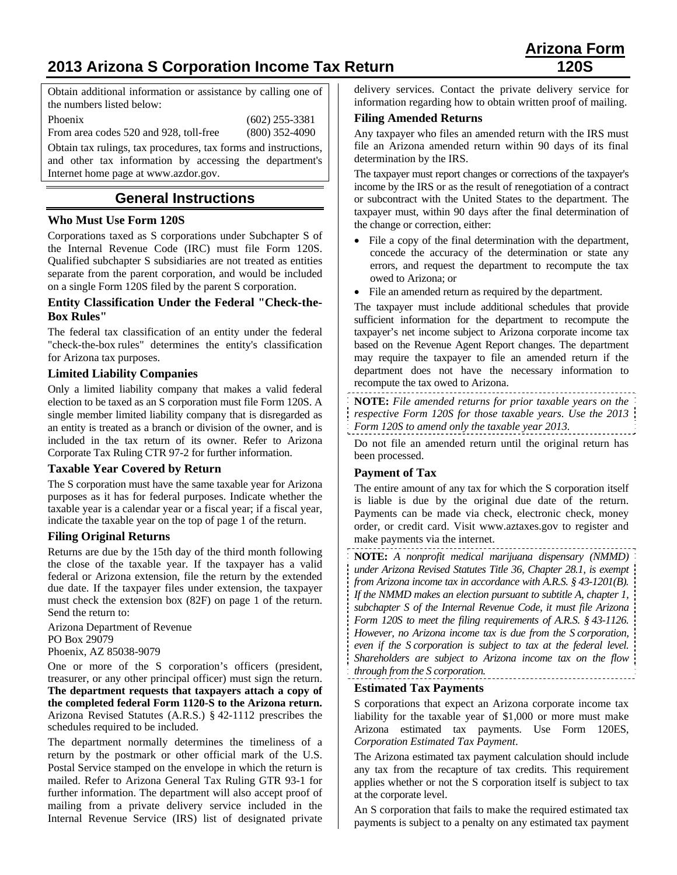# **2013 Arizona S Corporation Income Tax Return 120S**

Obtain additional information or assistance by calling one of the numbers listed below:

Phoenix (602) 255-3381 From area codes 520 and 928, toll-free (800) 352-4090

Obtain tax rulings, tax procedures, tax forms and instructions, and other tax information by accessing the department's Internet home page at www.azdor.gov.

## **General Instructions**

## **Who Must Use Form 120S**

Corporations taxed as S corporations under Subchapter S of the Internal Revenue Code (IRC) must file Form 120S. Qualified subchapter S subsidiaries are not treated as entities separate from the parent corporation, and would be included on a single Form 120S filed by the parent S corporation.

#### **Entity Classification Under the Federal "Check-the-Box Rules"**

The federal tax classification of an entity under the federal "check-the-box rules" determines the entity's classification for Arizona tax purposes.

### **Limited Liability Companies**

Only a limited liability company that makes a valid federal election to be taxed as an S corporation must file Form 120S. A single member limited liability company that is disregarded as an entity is treated as a branch or division of the owner, and is included in the tax return of its owner. Refer to Arizona Corporate Tax Ruling CTR 97-2 for further information.

### **Taxable Year Covered by Return**

The S corporation must have the same taxable year for Arizona purposes as it has for federal purposes. Indicate whether the taxable year is a calendar year or a fiscal year; if a fiscal year, indicate the taxable year on the top of page 1 of the return.

### **Filing Original Returns**

Returns are due by the 15th day of the third month following the close of the taxable year. If the taxpayer has a valid federal or Arizona extension, file the return by the extended due date. If the taxpayer files under extension, the taxpayer must check the extension box (82F) on page 1 of the return. Send the return to:

Arizona Department of Revenue PO Box 29079 Phoenix, AZ 85038-9079

One or more of the S corporation's officers (president, treasurer, or any other principal officer) must sign the return. **The department requests that taxpayers attach a copy of the completed federal Form 1120-S to the Arizona return.** Arizona Revised Statutes (A.R.S.) § 42-1112 prescribes the schedules required to be included.

The department normally determines the timeliness of a return by the postmark or other official mark of the U.S. Postal Service stamped on the envelope in which the return is mailed. Refer to Arizona General Tax Ruling GTR 93-1 for further information. The department will also accept proof of mailing from a private delivery service included in the Internal Revenue Service (IRS) list of designated private

delivery services. Contact the private delivery service for information regarding how to obtain written proof of mailing.

## **Filing Amended Returns**

Any taxpayer who files an amended return with the IRS must file an Arizona amended return within 90 days of its final determination by the IRS.

The taxpayer must report changes or corrections of the taxpayer's income by the IRS or as the result of renegotiation of a contract or subcontract with the United States to the department. The taxpayer must, within 90 days after the final determination of the change or correction, either:

- File a copy of the final determination with the department, concede the accuracy of the determination or state any errors, and request the department to recompute the tax owed to Arizona; or
- File an amended return as required by the department.

The taxpayer must include additional schedules that provide sufficient information for the department to recompute the taxpayer's net income subject to Arizona corporate income tax based on the Revenue Agent Report changes. The department may require the taxpayer to file an amended return if the department does not have the necessary information to recompute the tax owed to Arizona.

**NOTE:** *File amended returns for prior taxable years on the* 

- *respective Form 120S for those taxable years. Use the 2013*
- *Form 120S to amend only the taxable year 2013.*

Do not file an amended return until the original return has been processed.

### **Payment of Tax**

The entire amount of any tax for which the S corporation itself is liable is due by the original due date of the return. Payments can be made via check, electronic check, money order, or credit card. Visit www.aztaxes.gov to register and make payments via the internet.

**NOTE:** *A nonprofit medical marijuana dispensary (NMMD) under Arizona Revised Statutes Title 36, Chapter 28.1, is exempt from Arizona income tax in accordance with A.R.S. § 43-1201(B). If the NMMD makes an election pursuant to subtitle A, chapter 1, subchapter S of the Internal Revenue Code, it must file Arizona Form 120S to meet the filing requirements of A.R.S. § 43-1126. However, no Arizona income tax is due from the S corporation, even if the S corporation is subject to tax at the federal level. Shareholders are subject to Arizona income tax on the flow through from the S corporation.*

#### **Estimated Tax Payments**

S corporations that expect an Arizona corporate income tax liability for the taxable year of \$1,000 or more must make Arizona estimated tax payments. Use Form 120ES, *Corporation Estimated Tax Payment*.

The Arizona estimated tax payment calculation should include any tax from the recapture of tax credits. This requirement applies whether or not the S corporation itself is subject to tax at the corporate level.

An S corporation that fails to make the required estimated tax payments is subject to a penalty on any estimated tax payment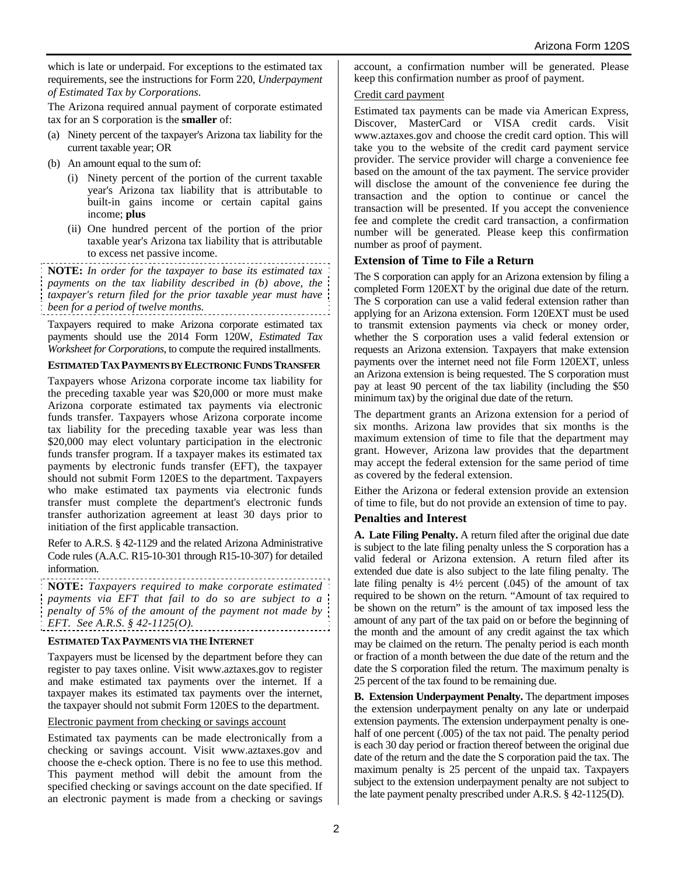which is late or underpaid. For exceptions to the estimated tax requirements, see the instructions for Form 220, *Underpayment of Estimated Tax by Corporations*.

The Arizona required annual payment of corporate estimated tax for an S corporation is the **smaller** of:

- (a) Ninety percent of the taxpayer's Arizona tax liability for the current taxable year; OR
- (b) An amount equal to the sum of:
	- (i) Ninety percent of the portion of the current taxable year's Arizona tax liability that is attributable to built-in gains income or certain capital gains income; **plus**
	- (ii) One hundred percent of the portion of the prior taxable year's Arizona tax liability that is attributable to excess net passive income.

**NOTE:** *In order for the taxpayer to base its estimated tax payments on the tax liability described in (b) above, the taxpayer's return filed for the prior taxable year must have been for a period of twelve months.*

Taxpayers required to make Arizona corporate estimated tax payments should use the 2014 Form 120W, *Estimated Tax Worksheet for Corporations*, to compute the required installments.

#### **ESTIMATED TAX PAYMENTS BY ELECTRONIC FUNDS TRANSFER**

Taxpayers whose Arizona corporate income tax liability for the preceding taxable year was \$20,000 or more must make Arizona corporate estimated tax payments via electronic funds transfer. Taxpayers whose Arizona corporate income tax liability for the preceding taxable year was less than \$20,000 may elect voluntary participation in the electronic funds transfer program. If a taxpayer makes its estimated tax payments by electronic funds transfer (EFT), the taxpayer should not submit Form 120ES to the department. Taxpayers who make estimated tax payments via electronic funds transfer must complete the department's electronic funds transfer authorization agreement at least 30 days prior to initiation of the first applicable transaction.

Refer to A.R.S. § 42-1129 and the related Arizona Administrative Code rules (A.A.C. R15-10-301 through R15-10-307) for detailed information.

**NOTE:** *Taxpayers required to make corporate estimated payments via EFT that fail to do so are subject to a penalty of 5% of the amount of the payment not made by EFT. See A.R.S. § 42-1125(O).* 

#### **ESTIMATED TAX PAYMENTS VIA THE INTERNET**

Taxpayers must be licensed by the department before they can register to pay taxes online. Visit www.aztaxes.gov to register and make estimated tax payments over the internet. If a taxpayer makes its estimated tax payments over the internet, the taxpayer should not submit Form 120ES to the department.

#### Electronic payment from checking or savings account

Estimated tax payments can be made electronically from a checking or savings account. Visit www.aztaxes.gov and choose the e-check option. There is no fee to use this method. This payment method will debit the amount from the specified checking or savings account on the date specified. If an electronic payment is made from a checking or savings account, a confirmation number will be generated. Please keep this confirmation number as proof of payment.

#### Credit card payment

Estimated tax payments can be made via American Express, Discover, MasterCard or VISA credit cards. Visit www.aztaxes.gov and choose the credit card option. This will take you to the website of the credit card payment service provider. The service provider will charge a convenience fee based on the amount of the tax payment. The service provider will disclose the amount of the convenience fee during the transaction and the option to continue or cancel the transaction will be presented. If you accept the convenience fee and complete the credit card transaction, a confirmation number will be generated. Please keep this confirmation number as proof of payment.

#### **Extension of Time to File a Return**

The S corporation can apply for an Arizona extension by filing a completed Form 120EXT by the original due date of the return. The S corporation can use a valid federal extension rather than applying for an Arizona extension. Form 120EXT must be used to transmit extension payments via check or money order, whether the S corporation uses a valid federal extension or requests an Arizona extension. Taxpayers that make extension payments over the internet need not file Form 120EXT, unless an Arizona extension is being requested. The S corporation must pay at least 90 percent of the tax liability (including the \$50 minimum tax) by the original due date of the return.

The department grants an Arizona extension for a period of six months. Arizona law provides that six months is the maximum extension of time to file that the department may grant. However, Arizona law provides that the department may accept the federal extension for the same period of time as covered by the federal extension.

Either the Arizona or federal extension provide an extension of time to file, but do not provide an extension of time to pay.

### **Penalties and Interest**

**A. Late Filing Penalty.** A return filed after the original due date is subject to the late filing penalty unless the S corporation has a valid federal or Arizona extension. A return filed after its extended due date is also subject to the late filing penalty. The late filing penalty is  $4\frac{1}{2}$  percent (.045) of the amount of tax required to be shown on the return. "Amount of tax required to be shown on the return" is the amount of tax imposed less the amount of any part of the tax paid on or before the beginning of the month and the amount of any credit against the tax which may be claimed on the return. The penalty period is each month or fraction of a month between the due date of the return and the date the S corporation filed the return. The maximum penalty is 25 percent of the tax found to be remaining due.

**B. Extension Underpayment Penalty.** The department imposes the extension underpayment penalty on any late or underpaid extension payments. The extension underpayment penalty is onehalf of one percent (.005) of the tax not paid. The penalty period is each 30 day period or fraction thereof between the original due date of the return and the date the S corporation paid the tax. The maximum penalty is 25 percent of the unpaid tax. Taxpayers subject to the extension underpayment penalty are not subject to the late payment penalty prescribed under A.R.S. § 42-1125(D).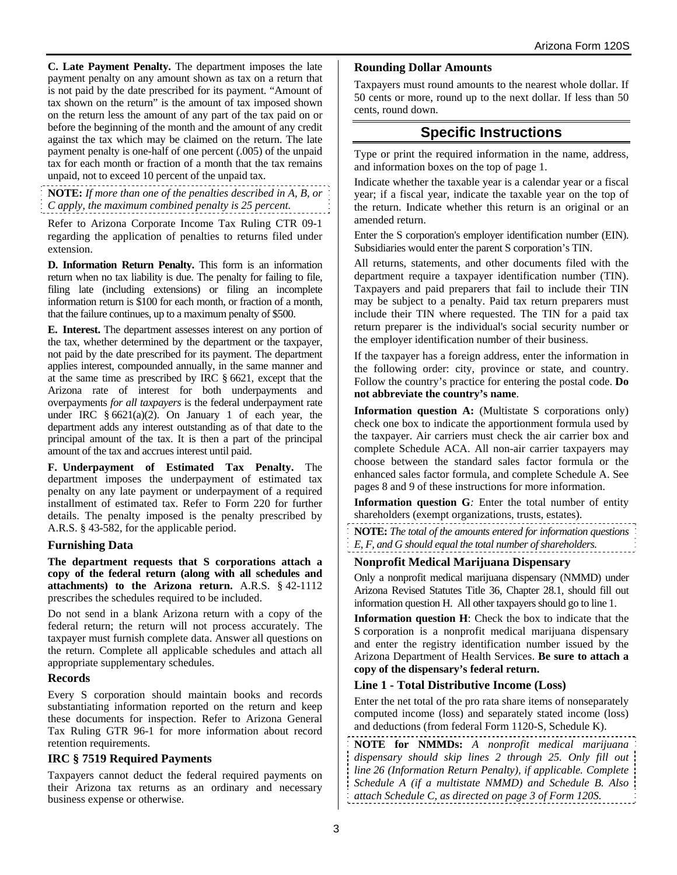**C. Late Payment Penalty.** The department imposes the late payment penalty on any amount shown as tax on a return that is not paid by the date prescribed for its payment. "Amount of tax shown on the return" is the amount of tax imposed shown on the return less the amount of any part of the tax paid on or before the beginning of the month and the amount of any credit against the tax which may be claimed on the return. The late payment penalty is one-half of one percent (.005) of the unpaid tax for each month or fraction of a month that the tax remains unpaid, not to exceed 10 percent of the unpaid tax.

**NOTE:** *If more than one of the penalties described in A, B, or C apply, the maximum combined penalty is 25 percent.*

Refer to Arizona Corporate Income Tax Ruling CTR 09-1 regarding the application of penalties to returns filed under extension.

**D. Information Return Penalty.** This form is an information return when no tax liability is due. The penalty for failing to file, filing late (including extensions) or filing an incomplete information return is \$100 for each month, or fraction of a month, that the failure continues, up to a maximum penalty of \$500.

**E. Interest.** The department assesses interest on any portion of the tax, whether determined by the department or the taxpayer, not paid by the date prescribed for its payment. The department applies interest, compounded annually, in the same manner and at the same time as prescribed by IRC § 6621, except that the Arizona rate of interest for both underpayments and overpayments *for all taxpayers* is the federal underpayment rate under IRC  $\frac{6621(a)(2)}{2}$ . On January 1 of each year, the department adds any interest outstanding as of that date to the principal amount of the tax. It is then a part of the principal amount of the tax and accrues interest until paid.

**F. Underpayment of Estimated Tax Penalty.** The department imposes the underpayment of estimated tax penalty on any late payment or underpayment of a required installment of estimated tax. Refer to Form 220 for further details. The penalty imposed is the penalty prescribed by A.R.S. § 43-582, for the applicable period.

### **Furnishing Data**

**The department requests that S corporations attach a copy of the federal return (along with all schedules and attachments) to the Arizona return.** A.R.S. § 42-1112 prescribes the schedules required to be included.

Do not send in a blank Arizona return with a copy of the federal return; the return will not process accurately. The taxpayer must furnish complete data. Answer all questions on the return. Complete all applicable schedules and attach all appropriate supplementary schedules.

### **Records**

Every S corporation should maintain books and records substantiating information reported on the return and keep these documents for inspection. Refer to Arizona General Tax Ruling GTR 96-1 for more information about record retention requirements.

### **IRC § 7519 Required Payments**

Taxpayers cannot deduct the federal required payments on their Arizona tax returns as an ordinary and necessary business expense or otherwise.

#### **Rounding Dollar Amounts**

Taxpayers must round amounts to the nearest whole dollar. If 50 cents or more, round up to the next dollar. If less than 50 cents, round down.

## **Specific Instructions**

Type or print the required information in the name, address, and information boxes on the top of page 1.

Indicate whether the taxable year is a calendar year or a fiscal year; if a fiscal year, indicate the taxable year on the top of the return. Indicate whether this return is an original or an amended return.

Enter the S corporation's employer identification number (EIN). Subsidiaries would enter the parent S corporation's TIN.

All returns, statements, and other documents filed with the department require a taxpayer identification number (TIN). Taxpayers and paid preparers that fail to include their TIN may be subject to a penalty. Paid tax return preparers must include their TIN where requested. The TIN for a paid tax return preparer is the individual's social security number or the employer identification number of their business.

If the taxpayer has a foreign address, enter the information in the following order: city, province or state, and country. Follow the country's practice for entering the postal code. **Do not abbreviate the country's name**.

**Information question A:** (Multistate S corporations only) check one box to indicate the apportionment formula used by the taxpayer. Air carriers must check the air carrier box and complete Schedule ACA. All non-air carrier taxpayers may choose between the standard sales factor formula or the enhanced sales factor formula, and complete Schedule A. See pages 8 and 9 of these instructions for more information.

**Information question G***:* Enter the total number of entity shareholders (exempt organizations, trusts, estates).

**NOTE:** *The total of the amounts entered for information questions E, F, and G should equal the total number of shareholders.*

### **Nonprofit Medical Marijuana Dispensary**

Only a nonprofit medical marijuana dispensary (NMMD) under Arizona Revised Statutes Title 36, Chapter 28.1, should fill out information question H. All other taxpayers should go to line 1.

**Information question H**: Check the box to indicate that the S corporation is a nonprofit medical marijuana dispensary and enter the registry identification number issued by the Arizona Department of Health Services. **Be sure to attach a copy of the dispensary's federal return.**

### **Line 1 - Total Distributive Income (Loss)**

Enter the net total of the pro rata share items of nonseparately computed income (loss) and separately stated income (loss) and deductions (from federal Form 1120-S, Schedule K).

**NOTE for NMMDs:** *A nonprofit medical marijuana dispensary should skip lines 2 through 25. Only fill out line 26 (Information Return Penalty), if applicable. Complete Schedule A (if a multistate NMMD) and Schedule B. Also attach Schedule C, as directed on page 3 of Form 120S.*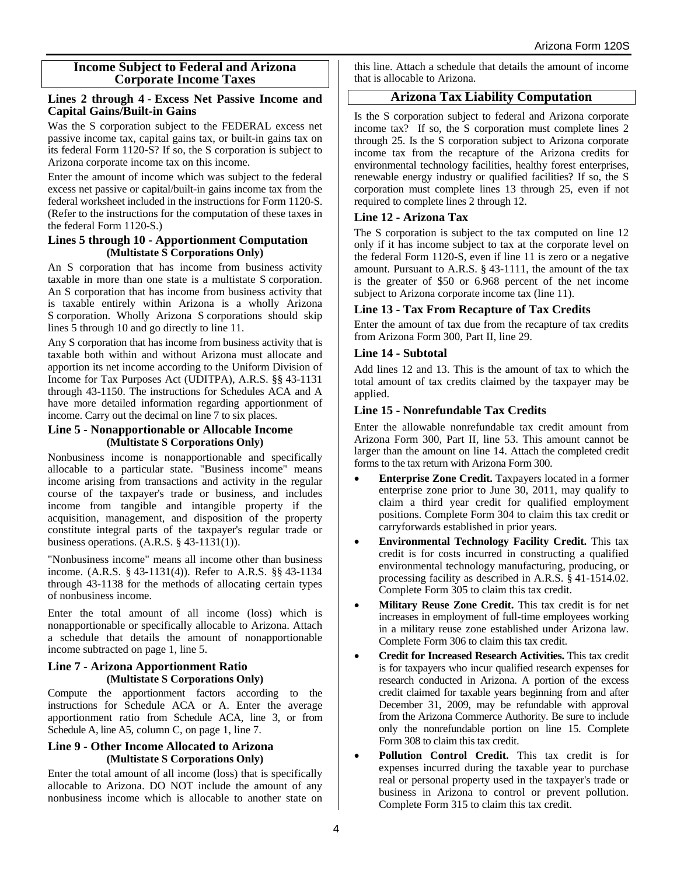#### **Income Subject to Federal and Arizona Corporate Income Taxes**

#### **Lines 2 through 4 - Excess Net Passive Income and Capital Gains/Built-in Gains**

Was the S corporation subject to the FEDERAL excess net passive income tax, capital gains tax, or built-in gains tax on its federal Form 1120-S? If so, the S corporation is subject to Arizona corporate income tax on this income.

Enter the amount of income which was subject to the federal excess net passive or capital/built-in gains income tax from the federal worksheet included in the instructions for Form 1120-S. (Refer to the instructions for the computation of these taxes in the federal Form 1120-S.)

#### **Lines 5 through 10 - Apportionment Computation (Multistate S Corporations Only)**

An S corporation that has income from business activity taxable in more than one state is a multistate S corporation. An S corporation that has income from business activity that is taxable entirely within Arizona is a wholly Arizona S corporation. Wholly Arizona S corporations should skip lines 5 through 10 and go directly to line 11.

Any S corporation that has income from business activity that is taxable both within and without Arizona must allocate and apportion its net income according to the Uniform Division of Income for Tax Purposes Act (UDITPA), A.R.S. §§ 43-1131 through 43-1150. The instructions for Schedules ACA and A have more detailed information regarding apportionment of income. Carry out the decimal on line 7 to six places.

#### **Line 5 - Nonapportionable or Allocable Income (Multistate S Corporations Only)**

Nonbusiness income is nonapportionable and specifically allocable to a particular state. "Business income" means income arising from transactions and activity in the regular course of the taxpayer's trade or business, and includes income from tangible and intangible property if the acquisition, management, and disposition of the property constitute integral parts of the taxpayer's regular trade or business operations. (A.R.S. § 43-1131(1)).

"Nonbusiness income" means all income other than business income. (A.R.S. § 43-1131(4)). Refer to A.R.S. §§ 43-1134 through 43-1138 for the methods of allocating certain types of nonbusiness income.

Enter the total amount of all income (loss) which is nonapportionable or specifically allocable to Arizona. Attach a schedule that details the amount of nonapportionable income subtracted on page 1, line 5.

#### **Line 7 - Arizona Apportionment Ratio (Multistate S Corporations Only)**

Compute the apportionment factors according to the instructions for Schedule ACA or A. Enter the average apportionment ratio from Schedule ACA, line 3, or from Schedule A, line A5, column C, on page 1, line 7.

#### **Line 9 - Other Income Allocated to Arizona (Multistate S Corporations Only)**

Enter the total amount of all income (loss) that is specifically allocable to Arizona. DO NOT include the amount of any nonbusiness income which is allocable to another state on this line. Attach a schedule that details the amount of income that is allocable to Arizona.

## **Arizona Tax Liability Computation**

Is the S corporation subject to federal and Arizona corporate income tax? If so, the S corporation must complete lines 2 through 25. Is the S corporation subject to Arizona corporate income tax from the recapture of the Arizona credits for environmental technology facilities, healthy forest enterprises, renewable energy industry or qualified facilities? If so, the S corporation must complete lines 13 through 25, even if not required to complete lines 2 through 12.

### **Line 12 - Arizona Tax**

The S corporation is subject to the tax computed on line 12 only if it has income subject to tax at the corporate level on the federal Form 1120-S, even if line 11 is zero or a negative amount. Pursuant to A.R.S. § 43-1111, the amount of the tax is the greater of \$50 or 6.968 percent of the net income subject to Arizona corporate income tax (line 11).

### **Line 13 - Tax From Recapture of Tax Credits**

Enter the amount of tax due from the recapture of tax credits from Arizona Form 300, Part II, line 29.

#### **Line 14 - Subtotal**

Add lines 12 and 13. This is the amount of tax to which the total amount of tax credits claimed by the taxpayer may be applied.

#### **Line 15 - Nonrefundable Tax Credits**

Enter the allowable nonrefundable tax credit amount from Arizona Form 300, Part II, line 53. This amount cannot be larger than the amount on line 14. Attach the completed credit forms to the tax return with Arizona Form 300.

- **Enterprise Zone Credit.** Taxpayers located in a former enterprise zone prior to June 30, 2011, may qualify to claim a third year credit for qualified employment positions. Complete Form 304 to claim this tax credit or carryforwards established in prior years.
- **Environmental Technology Facility Credit.** This tax credit is for costs incurred in constructing a qualified environmental technology manufacturing, producing, or processing facility as described in A.R.S. § 41-1514.02. Complete Form 305 to claim this tax credit.
- **Military Reuse Zone Credit.** This tax credit is for net increases in employment of full-time employees working in a military reuse zone established under Arizona law. Complete Form 306 to claim this tax credit.
- **Credit for Increased Research Activities.** This tax credit is for taxpayers who incur qualified research expenses for research conducted in Arizona. A portion of the excess credit claimed for taxable years beginning from and after December 31, 2009, may be refundable with approval from the Arizona Commerce Authority. Be sure to include only the nonrefundable portion on line 15. Complete Form 308 to claim this tax credit.
- **Pollution Control Credit.** This tax credit is for expenses incurred during the taxable year to purchase real or personal property used in the taxpayer's trade or business in Arizona to control or prevent pollution. Complete Form 315 to claim this tax credit.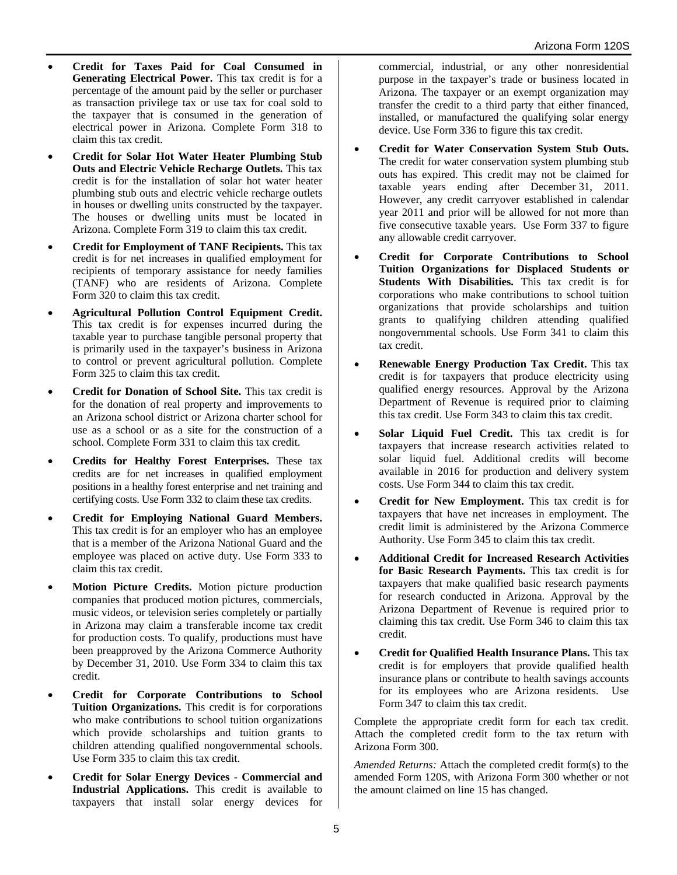- **Credit for Taxes Paid for Coal Consumed in Generating Electrical Power.** This tax credit is for a percentage of the amount paid by the seller or purchaser as transaction privilege tax or use tax for coal sold to the taxpayer that is consumed in the generation of electrical power in Arizona. Complete Form 318 to claim this tax credit.
- **Credit for Solar Hot Water Heater Plumbing Stub Outs and Electric Vehicle Recharge Outlets.** This tax credit is for the installation of solar hot water heater plumbing stub outs and electric vehicle recharge outlets in houses or dwelling units constructed by the taxpayer. The houses or dwelling units must be located in Arizona. Complete Form 319 to claim this tax credit.
- **Credit for Employment of TANF Recipients.** This tax credit is for net increases in qualified employment for recipients of temporary assistance for needy families (TANF) who are residents of Arizona. Complete Form 320 to claim this tax credit.
- **Agricultural Pollution Control Equipment Credit.** This tax credit is for expenses incurred during the taxable year to purchase tangible personal property that is primarily used in the taxpayer's business in Arizona to control or prevent agricultural pollution. Complete Form 325 to claim this tax credit.
- **Credit for Donation of School Site.** This tax credit is for the donation of real property and improvements to an Arizona school district or Arizona charter school for use as a school or as a site for the construction of a school. Complete Form 331 to claim this tax credit.
- **Credits for Healthy Forest Enterprises.** These tax credits are for net increases in qualified employment positions in a healthy forest enterprise and net training and certifying costs. Use Form 332 to claim these tax credits.
- **Credit for Employing National Guard Members.**  This tax credit is for an employer who has an employee that is a member of the Arizona National Guard and the employee was placed on active duty. Use Form 333 to claim this tax credit.
- **Motion Picture Credits.** Motion picture production companies that produced motion pictures, commercials, music videos, or television series completely or partially in Arizona may claim a transferable income tax credit for production costs. To qualify, productions must have been preapproved by the Arizona Commerce Authority by December 31, 2010. Use Form 334 to claim this tax credit.
- **Credit for Corporate Contributions to School Tuition Organizations.** This credit is for corporations who make contributions to school tuition organizations which provide scholarships and tuition grants to children attending qualified nongovernmental schools. Use Form 335 to claim this tax credit.
- **Credit for Solar Energy Devices Commercial and Industrial Applications.** This credit is available to taxpayers that install solar energy devices for

commercial, industrial, or any other nonresidential purpose in the taxpayer's trade or business located in Arizona. The taxpayer or an exempt organization may transfer the credit to a third party that either financed, installed, or manufactured the qualifying solar energy device. Use Form 336 to figure this tax credit.

- **Credit for Water Conservation System Stub Outs.** The credit for water conservation system plumbing stub outs has expired. This credit may not be claimed for taxable years ending after December 31, 2011. However, any credit carryover established in calendar year 2011 and prior will be allowed for not more than five consecutive taxable years. Use Form 337 to figure any allowable credit carryover.
- **Credit for Corporate Contributions to School Tuition Organizations for Displaced Students or Students With Disabilities.** This tax credit is for corporations who make contributions to school tuition organizations that provide scholarships and tuition grants to qualifying children attending qualified nongovernmental schools. Use Form 341 to claim this tax credit.
- **Renewable Energy Production Tax Credit.** This tax credit is for taxpayers that produce electricity using qualified energy resources. Approval by the Arizona Department of Revenue is required prior to claiming this tax credit. Use Form 343 to claim this tax credit.
- **Solar Liquid Fuel Credit.** This tax credit is for taxpayers that increase research activities related to solar liquid fuel. Additional credits will become available in 2016 for production and delivery system costs. Use Form 344 to claim this tax credit.
- **Credit for New Employment.** This tax credit is for taxpayers that have net increases in employment. The credit limit is administered by the Arizona Commerce Authority. Use Form 345 to claim this tax credit.
- **Additional Credit for Increased Research Activities for Basic Research Payments.** This tax credit is for taxpayers that make qualified basic research payments for research conducted in Arizona. Approval by the Arizona Department of Revenue is required prior to claiming this tax credit. Use Form 346 to claim this tax credit.
- **Credit for Qualified Health Insurance Plans.** This tax credit is for employers that provide qualified health insurance plans or contribute to health savings accounts for its employees who are Arizona residents. Use Form 347 to claim this tax credit.

Complete the appropriate credit form for each tax credit. Attach the completed credit form to the tax return with Arizona Form 300.

*Amended Returns:* Attach the completed credit form(s) to the amended Form 120S, with Arizona Form 300 whether or not the amount claimed on line 15 has changed.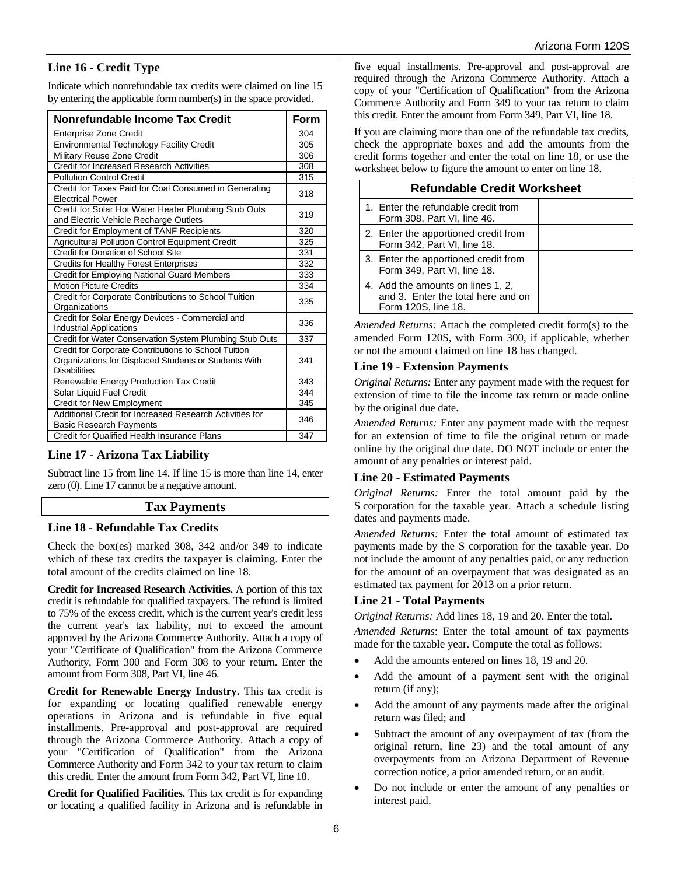## **Line 16 - Credit Type**

Indicate which nonrefundable tax credits were claimed on line 15 by entering the applicable form number(s) in the space provided.

| Nonrefundable Income Tax Credit                                                                                                      |     |  |  |  |  |
|--------------------------------------------------------------------------------------------------------------------------------------|-----|--|--|--|--|
| <b>Enterprise Zone Credit</b>                                                                                                        | 304 |  |  |  |  |
| <b>Environmental Technology Facility Credit</b>                                                                                      |     |  |  |  |  |
| Military Reuse Zone Credit                                                                                                           | 306 |  |  |  |  |
| Credit for Increased Research Activities                                                                                             |     |  |  |  |  |
| <b>Pollution Control Credit</b>                                                                                                      | 315 |  |  |  |  |
| Credit for Taxes Paid for Coal Consumed in Generating<br><b>Electrical Power</b>                                                     |     |  |  |  |  |
| Credit for Solar Hot Water Heater Plumbing Stub Outs<br>and Electric Vehicle Recharge Outlets                                        | 319 |  |  |  |  |
| Credit for Employment of TANF Recipients                                                                                             | 320 |  |  |  |  |
| Agricultural Pollution Control Equipment Credit                                                                                      | 325 |  |  |  |  |
| Credit for Donation of School Site                                                                                                   | 331 |  |  |  |  |
| <b>Credits for Healthy Forest Enterprises</b>                                                                                        | 332 |  |  |  |  |
| Credit for Employing National Guard Members                                                                                          | 333 |  |  |  |  |
| <b>Motion Picture Credits</b>                                                                                                        | 334 |  |  |  |  |
| Credit for Corporate Contributions to School Tuition<br>Organizations                                                                | 335 |  |  |  |  |
| Credit for Solar Energy Devices - Commercial and<br><b>Industrial Applications</b>                                                   | 336 |  |  |  |  |
| Credit for Water Conservation System Plumbing Stub Outs                                                                              | 337 |  |  |  |  |
| Credit for Corporate Contributions to School Tuition<br>Organizations for Displaced Students or Students With<br><b>Disabilities</b> | 341 |  |  |  |  |
| Renewable Energy Production Tax Credit                                                                                               | 343 |  |  |  |  |
| Solar Liquid Fuel Credit                                                                                                             | 344 |  |  |  |  |
| Credit for New Employment                                                                                                            | 345 |  |  |  |  |
| Additional Credit for Increased Research Activities for<br><b>Basic Research Payments</b>                                            | 346 |  |  |  |  |
| Credit for Qualified Health Insurance Plans                                                                                          | 347 |  |  |  |  |

### **Line 17 - Arizona Tax Liability**

Subtract line 15 from line 14. If line 15 is more than line 14, enter zero (0). Line 17 cannot be a negative amount.

#### **Tax Payments**

#### **Line 18 - Refundable Tax Credits**

Check the box(es) marked 308, 342 and/or 349 to indicate which of these tax credits the taxpayer is claiming. Enter the total amount of the credits claimed on line 18.

**Credit for Increased Research Activities.** A portion of this tax credit is refundable for qualified taxpayers. The refund is limited to 75% of the excess credit, which is the current year's credit less the current year's tax liability, not to exceed the amount approved by the Arizona Commerce Authority. Attach a copy of your "Certificate of Qualification" from the Arizona Commerce Authority, Form 300 and Form 308 to your return. Enter the amount from Form 308, Part VI, line 46.

**Credit for Renewable Energy Industry.** This tax credit is for expanding or locating qualified renewable energy operations in Arizona and is refundable in five equal installments. Pre-approval and post-approval are required through the Arizona Commerce Authority. Attach a copy of your "Certification of Qualification" from the Arizona Commerce Authority and Form 342 to your tax return to claim this credit. Enter the amount from Form 342, Part VI, line 18.

**Credit for Qualified Facilities.** This tax credit is for expanding or locating a qualified facility in Arizona and is refundable in five equal installments. Pre-approval and post-approval are required through the Arizona Commerce Authority. Attach a copy of your "Certification of Qualification" from the Arizona Commerce Authority and Form 349 to your tax return to claim this credit. Enter the amount from Form 349, Part VI, line 18.

If you are claiming more than one of the refundable tax credits, check the appropriate boxes and add the amounts from the credit forms together and enter the total on line 18, or use the worksheet below to figure the amount to enter on line 18.

| <b>Refundable Credit Worksheet</b>                                                             |  |  |  |  |  |  |
|------------------------------------------------------------------------------------------------|--|--|--|--|--|--|
| 1. Enter the refundable credit from<br>Form 308, Part VI, line 46.                             |  |  |  |  |  |  |
| 2. Enter the apportioned credit from<br>Form 342, Part VI, line 18.                            |  |  |  |  |  |  |
| 3. Enter the apportioned credit from<br>Form 349, Part VI, line 18.                            |  |  |  |  |  |  |
| 4. Add the amounts on lines 1, 2,<br>and 3. Enter the total here and on<br>Form 120S, line 18. |  |  |  |  |  |  |

*Amended Returns:* Attach the completed credit form(s) to the amended Form 120S, with Form 300, if applicable, whether or not the amount claimed on line 18 has changed.

#### **Line 19 - Extension Payments**

*Original Returns:* Enter any payment made with the request for extension of time to file the income tax return or made online by the original due date.

*Amended Returns:* Enter any payment made with the request for an extension of time to file the original return or made online by the original due date. DO NOT include or enter the amount of any penalties or interest paid.

#### **Line 20 - Estimated Payments**

*Original Returns:* Enter the total amount paid by the S corporation for the taxable year. Attach a schedule listing dates and payments made.

*Amended Returns:* Enter the total amount of estimated tax payments made by the S corporation for the taxable year. Do not include the amount of any penalties paid, or any reduction for the amount of an overpayment that was designated as an estimated tax payment for 2013 on a prior return.

#### **Line 21 - Total Payments**

*Original Returns:* Add lines 18, 19 and 20. Enter the total.

*Amended Returns*: Enter the total amount of tax payments made for the taxable year. Compute the total as follows:

- Add the amounts entered on lines 18, 19 and 20.
- Add the amount of a payment sent with the original return (if any);
- Add the amount of any payments made after the original return was filed; and
- Subtract the amount of any overpayment of tax (from the original return, line 23) and the total amount of any overpayments from an Arizona Department of Revenue correction notice, a prior amended return, or an audit.
- Do not include or enter the amount of any penalties or interest paid.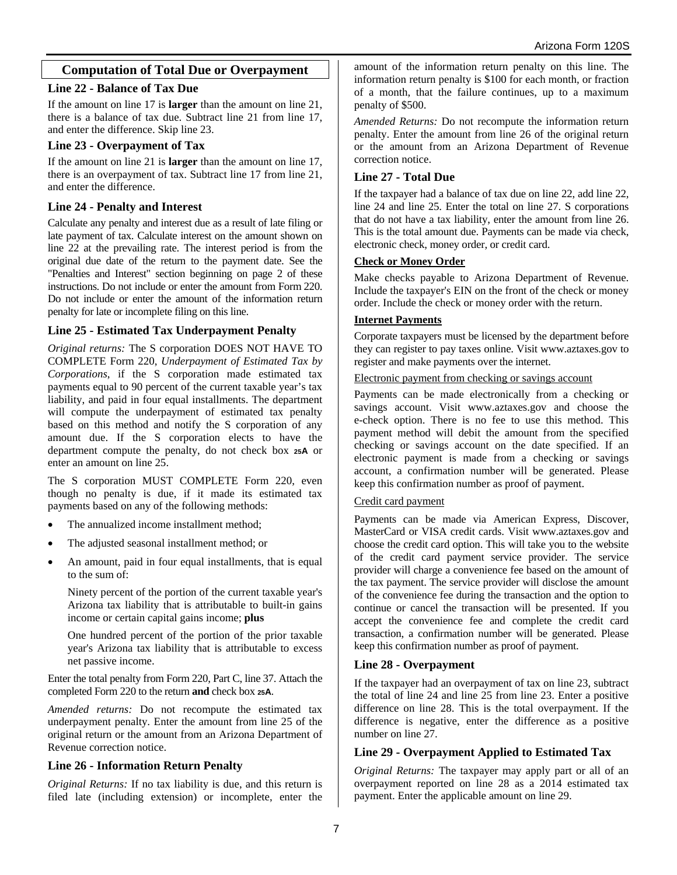## **Computation of Total Due or Overpayment**

#### **Line 22 - Balance of Tax Due**

If the amount on line 17 is **larger** than the amount on line 21, there is a balance of tax due. Subtract line 21 from line 17, and enter the difference. Skip line 23.

### **Line 23 - Overpayment of Tax**

If the amount on line 21 is **larger** than the amount on line 17, there is an overpayment of tax. Subtract line 17 from line 21, and enter the difference.

## **Line 24 - Penalty and Interest**

Calculate any penalty and interest due as a result of late filing or late payment of tax. Calculate interest on the amount shown on line 22 at the prevailing rate. The interest period is from the original due date of the return to the payment date. See the "Penalties and Interest" section beginning on page 2 of these instructions. Do not include or enter the amount from Form 220. Do not include or enter the amount of the information return penalty for late or incomplete filing on this line.

### **Line 25 - Estimated Tax Underpayment Penalty**

*Original returns:* The S corporation DOES NOT HAVE TO COMPLETE Form 220, *Underpayment of Estimated Tax by Corporations*, if the S corporation made estimated tax payments equal to 90 percent of the current taxable year's tax liability, and paid in four equal installments. The department will compute the underpayment of estimated tax penalty based on this method and notify the S corporation of any amount due. If the S corporation elects to have the department compute the penalty, do not check box **25A** or enter an amount on line 25.

The S corporation MUST COMPLETE Form 220, even though no penalty is due, if it made its estimated tax payments based on any of the following methods:

- The annualized income installment method;
- The adjusted seasonal installment method; or
- An amount, paid in four equal installments, that is equal to the sum of:

Ninety percent of the portion of the current taxable year's Arizona tax liability that is attributable to built-in gains income or certain capital gains income; **plus**

One hundred percent of the portion of the prior taxable year's Arizona tax liability that is attributable to excess net passive income.

Enter the total penalty from Form 220, Part C, line 37. Attach the completed Form 220 to the return **and** check box **25A**.

*Amended returns:* Do not recompute the estimated tax underpayment penalty. Enter the amount from line 25 of the original return or the amount from an Arizona Department of Revenue correction notice.

### **Line 26 - Information Return Penalty**

*Original Returns:* If no tax liability is due, and this return is filed late (including extension) or incomplete, enter the amount of the information return penalty on this line. The information return penalty is \$100 for each month, or fraction of a month, that the failure continues, up to a maximum penalty of \$500.

*Amended Returns:* Do not recompute the information return penalty. Enter the amount from line 26 of the original return or the amount from an Arizona Department of Revenue correction notice.

### **Line 27 - Total Due**

If the taxpayer had a balance of tax due on line 22, add line 22, line 24 and line 25. Enter the total on line 27. S corporations that do not have a tax liability, enter the amount from line 26. This is the total amount due. Payments can be made via check, electronic check, money order, or credit card.

#### **Check or Money Order**

Make checks payable to Arizona Department of Revenue. Include the taxpayer's EIN on the front of the check or money order. Include the check or money order with the return.

#### **Internet Payments**

Corporate taxpayers must be licensed by the department before they can register to pay taxes online. Visit www.aztaxes.gov to register and make payments over the internet.

Electronic payment from checking or savings account

Payments can be made electronically from a checking or savings account. Visit www.aztaxes.gov and choose the e-check option. There is no fee to use this method. This payment method will debit the amount from the specified checking or savings account on the date specified. If an electronic payment is made from a checking or savings account, a confirmation number will be generated. Please keep this confirmation number as proof of payment.

#### Credit card payment

Payments can be made via American Express, Discover, MasterCard or VISA credit cards. Visit www.aztaxes.gov and choose the credit card option. This will take you to the website of the credit card payment service provider. The service provider will charge a convenience fee based on the amount of the tax payment. The service provider will disclose the amount of the convenience fee during the transaction and the option to continue or cancel the transaction will be presented. If you accept the convenience fee and complete the credit card transaction, a confirmation number will be generated. Please keep this confirmation number as proof of payment.

### **Line 28 - Overpayment**

If the taxpayer had an overpayment of tax on line 23, subtract the total of line 24 and line 25 from line 23. Enter a positive difference on line 28. This is the total overpayment. If the difference is negative, enter the difference as a positive number on line 27.

### **Line 29 - Overpayment Applied to Estimated Tax**

*Original Returns:* The taxpayer may apply part or all of an overpayment reported on line 28 as a 2014 estimated tax payment. Enter the applicable amount on line 29.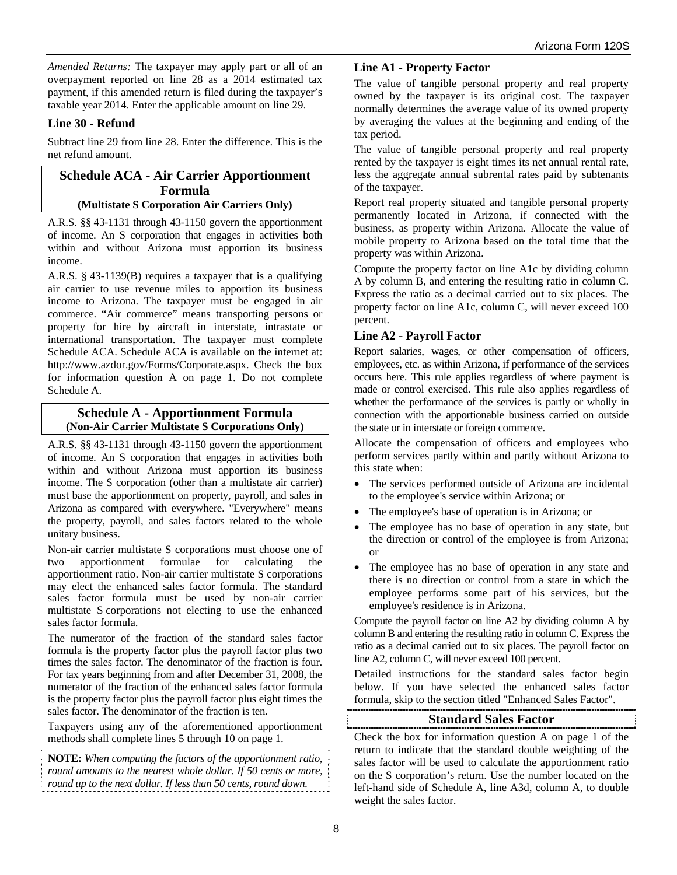*Amended Returns:* The taxpayer may apply part or all of an overpayment reported on line 28 as a 2014 estimated tax payment, if this amended return is filed during the taxpayer's taxable year 2014. Enter the applicable amount on line 29.

### **Line 30 - Refund**

Subtract line 29 from line 28. Enter the difference. This is the net refund amount.

#### **Schedule ACA - Air Carrier Apportionment Formula (Multistate S Corporation Air Carriers Only)**

A.R.S. §§ 43-1131 through 43-1150 govern the apportionment of income. An S corporation that engages in activities both within and without Arizona must apportion its business income.

A.R.S. § 43-1139(B) requires a taxpayer that is a qualifying air carrier to use revenue miles to apportion its business income to Arizona. The taxpayer must be engaged in air commerce. "Air commerce" means transporting persons or property for hire by aircraft in interstate, intrastate or international transportation. The taxpayer must complete Schedule ACA. Schedule ACA is available on the internet at: http://www.azdor.gov/Forms/Corporate.aspx. Check the box for information question A on page 1. Do not complete Schedule A.

#### **Schedule A - Apportionment Formula (Non-Air Carrier Multistate S Corporations Only)**

A.R.S. §§ 43-1131 through 43-1150 govern the apportionment of income. An S corporation that engages in activities both within and without Arizona must apportion its business income. The S corporation (other than a multistate air carrier) must base the apportionment on property, payroll, and sales in Arizona as compared with everywhere. "Everywhere" means the property, payroll, and sales factors related to the whole unitary business.

Non-air carrier multistate S corporations must choose one of two apportionment formulae for calculating the apportionment ratio. Non-air carrier multistate S corporations may elect the enhanced sales factor formula. The standard sales factor formula must be used by non-air carrier multistate S corporations not electing to use the enhanced sales factor formula.

The numerator of the fraction of the standard sales factor formula is the property factor plus the payroll factor plus two times the sales factor. The denominator of the fraction is four. For tax years beginning from and after December 31, 2008, the numerator of the fraction of the enhanced sales factor formula is the property factor plus the payroll factor plus eight times the sales factor. The denominator of the fraction is ten.

Taxpayers using any of the aforementioned apportionment methods shall complete lines 5 through 10 on page 1.

**NOTE:** *When computing the factors of the apportionment ratio, round amounts to the nearest whole dollar. If 50 cents or more, round up to the next dollar. If less than 50 cents, round down.*

## **Line A1 - Property Factor**

The value of tangible personal property and real property owned by the taxpayer is its original cost. The taxpayer normally determines the average value of its owned property by averaging the values at the beginning and ending of the tax period.

The value of tangible personal property and real property rented by the taxpayer is eight times its net annual rental rate, less the aggregate annual subrental rates paid by subtenants of the taxpayer.

Report real property situated and tangible personal property permanently located in Arizona, if connected with the business, as property within Arizona. Allocate the value of mobile property to Arizona based on the total time that the property was within Arizona.

Compute the property factor on line A1c by dividing column A by column B, and entering the resulting ratio in column C. Express the ratio as a decimal carried out to six places. The property factor on line A1c, column C, will never exceed 100 percent.

## **Line A2 - Payroll Factor**

Report salaries, wages, or other compensation of officers, employees, etc. as within Arizona, if performance of the services occurs here. This rule applies regardless of where payment is made or control exercised. This rule also applies regardless of whether the performance of the services is partly or wholly in connection with the apportionable business carried on outside the state or in interstate or foreign commerce.

Allocate the compensation of officers and employees who perform services partly within and partly without Arizona to this state when:

- The services performed outside of Arizona are incidental to the employee's service within Arizona; or
- The employee's base of operation is in Arizona; or
- The employee has no base of operation in any state, but the direction or control of the employee is from Arizona; or
- The employee has no base of operation in any state and there is no direction or control from a state in which the employee performs some part of his services, but the employee's residence is in Arizona.

Compute the payroll factor on line A2 by dividing column A by column B and entering the resulting ratio in column C. Express the ratio as a decimal carried out to six places. The payroll factor on line A2, column C, will never exceed 100 percent.

Detailed instructions for the standard sales factor begin below. If you have selected the enhanced sales factor formula, skip to the section titled "Enhanced Sales Factor".

## **Standard Sales Factor**

Check the box for information question A on page 1 of the return to indicate that the standard double weighting of the sales factor will be used to calculate the apportionment ratio on the S corporation's return. Use the number located on the left-hand side of Schedule A, line A3d, column A, to double weight the sales factor.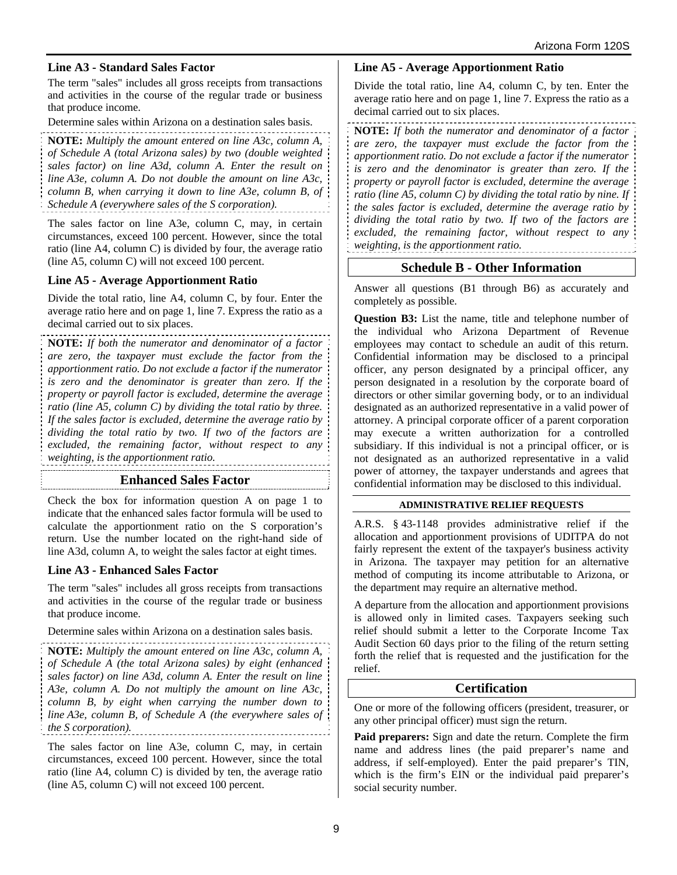## **Line A3 - Standard Sales Factor**

The term "sales" includes all gross receipts from transactions and activities in the course of the regular trade or business that produce income.

Determine sales within Arizona on a destination sales basis.

**NOTE:** *Multiply the amount entered on line A3c, column A, of Schedule A (total Arizona sales) by two (double weighted sales factor) on line A3d, column A. Enter the result on line A3e, column A. Do not double the amount on line A3c, column B, when carrying it down to line A3e, column B, of Schedule A (everywhere sales of the S corporation).* 

The sales factor on line A3e, column C, may, in certain circumstances, exceed 100 percent. However, since the total ratio (line A4, column C) is divided by four, the average ratio (line A5, column C) will not exceed 100 percent.

### **Line A5 - Average Apportionment Ratio**

Divide the total ratio, line A4, column C, by four. Enter the average ratio here and on page 1, line 7. Express the ratio as a decimal carried out to six places.

**NOTE:** *If both the numerator and denominator of a factor are zero, the taxpayer must exclude the factor from the apportionment ratio. Do not exclude a factor if the numerator is zero and the denominator is greater than zero. If the property or payroll factor is excluded, determine the average ratio (line A5, column C) by dividing the total ratio by three. If the sales factor is excluded, determine the average ratio by dividing the total ratio by two. If two of the factors are excluded, the remaining factor, without respect to any weighting, is the apportionment ratio.*

### **Enhanced Sales Factor**

Check the box for information question A on page 1 to indicate that the enhanced sales factor formula will be used to calculate the apportionment ratio on the S corporation's return. Use the number located on the right-hand side of line A3d, column A, to weight the sales factor at eight times.

### **Line A3 - Enhanced Sales Factor**

The term "sales" includes all gross receipts from transactions and activities in the course of the regular trade or business that produce income.

Determine sales within Arizona on a destination sales basis.

**NOTE:** *Multiply the amount entered on line A3c, column A, of Schedule A (the total Arizona sales) by eight (enhanced sales factor) on line A3d, column A. Enter the result on line A3e, column A. Do not multiply the amount on line A3c, column B, by eight when carrying the number down to line A3e, column B, of Schedule A (the everywhere sales of the S corporation).* 

The sales factor on line A3e, column C, may, in certain circumstances, exceed 100 percent. However, since the total ratio (line A4, column C) is divided by ten, the average ratio (line A5, column C) will not exceed 100 percent.

### **Line A5 - Average Apportionment Ratio**

Divide the total ratio, line A4, column C, by ten. Enter the average ratio here and on page 1, line 7. Express the ratio as a decimal carried out to six places.

**NOTE:** *If both the numerator and denominator of a factor are zero, the taxpayer must exclude the factor from the apportionment ratio. Do not exclude a factor if the numerator is zero and the denominator is greater than zero. If the property or payroll factor is excluded, determine the average ratio (line A5, column C) by dividing the total ratio by nine. If the sales factor is excluded, determine the average ratio by dividing the total ratio by two. If two of the factors are excluded, the remaining factor, without respect to any weighting, is the apportionment ratio.*

## **Schedule B - Other Information**

Answer all questions (B1 through B6) as accurately and completely as possible.

**Question B3:** List the name, title and telephone number of the individual who Arizona Department of Revenue employees may contact to schedule an audit of this return. Confidential information may be disclosed to a principal officer, any person designated by a principal officer, any person designated in a resolution by the corporate board of directors or other similar governing body, or to an individual designated as an authorized representative in a valid power of attorney. A principal corporate officer of a parent corporation may execute a written authorization for a controlled subsidiary. If this individual is not a principal officer, or is not designated as an authorized representative in a valid power of attorney, the taxpayer understands and agrees that confidential information may be disclosed to this individual.

#### **ADMINISTRATIVE RELIEF REQUESTS**

A.R.S. § 43-1148 provides administrative relief if the allocation and apportionment provisions of UDITPA do not fairly represent the extent of the taxpayer's business activity in Arizona. The taxpayer may petition for an alternative method of computing its income attributable to Arizona, or the department may require an alternative method.

A departure from the allocation and apportionment provisions is allowed only in limited cases. Taxpayers seeking such relief should submit a letter to the Corporate Income Tax Audit Section 60 days prior to the filing of the return setting forth the relief that is requested and the justification for the relief.

### **Certification**

One or more of the following officers (president, treasurer, or any other principal officer) must sign the return.

**Paid preparers:** Sign and date the return. Complete the firm name and address lines (the paid preparer's name and address, if self-employed). Enter the paid preparer's TIN, which is the firm's EIN or the individual paid preparer's social security number.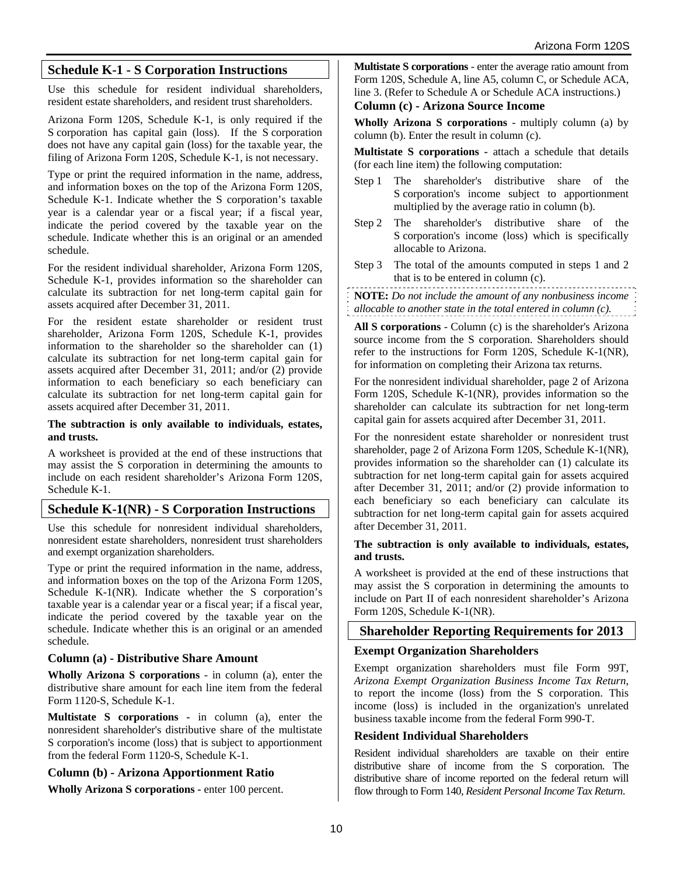## **Schedule K-1 - S Corporation Instructions**

Use this schedule for resident individual shareholders, resident estate shareholders, and resident trust shareholders.

Arizona Form 120S, Schedule K-1, is only required if the S corporation has capital gain (loss). If the S corporation does not have any capital gain (loss) for the taxable year, the filing of Arizona Form 120S, Schedule K-1, is not necessary.

Type or print the required information in the name, address, and information boxes on the top of the Arizona Form 120S, Schedule K-1. Indicate whether the S corporation's taxable year is a calendar year or a fiscal year; if a fiscal year, indicate the period covered by the taxable year on the schedule. Indicate whether this is an original or an amended schedule.

For the resident individual shareholder, Arizona Form 120S, Schedule K-1, provides information so the shareholder can calculate its subtraction for net long-term capital gain for assets acquired after December 31, 2011.

For the resident estate shareholder or resident trust shareholder, Arizona Form 120S, Schedule K-1, provides information to the shareholder so the shareholder can (1) calculate its subtraction for net long-term capital gain for assets acquired after December 31, 2011; and/or (2) provide information to each beneficiary so each beneficiary can calculate its subtraction for net long-term capital gain for assets acquired after December 31, 2011.

#### **The subtraction is only available to individuals, estates, and trusts.**

A worksheet is provided at the end of these instructions that may assist the S corporation in determining the amounts to include on each resident shareholder's Arizona Form 120S, Schedule K-1.

## **Schedule K-1(NR) - S Corporation Instructions**

Use this schedule for nonresident individual shareholders, nonresident estate shareholders, nonresident trust shareholders and exempt organization shareholders.

Type or print the required information in the name, address, and information boxes on the top of the Arizona Form 120S, Schedule K-1(NR). Indicate whether the S corporation's taxable year is a calendar year or a fiscal year; if a fiscal year, indicate the period covered by the taxable year on the schedule. Indicate whether this is an original or an amended schedule.

#### **Column (a) - Distributive Share Amount**

**Wholly Arizona S corporations** - in column (a), enter the distributive share amount for each line item from the federal Form 1120-S, Schedule K-1.

**Multistate S corporations -** in column (a), enter the nonresident shareholder's distributive share of the multistate S corporation's income (loss) that is subject to apportionment from the federal Form 1120-S, Schedule K-1.

### **Column (b) - Arizona Apportionment Ratio**

**Wholly Arizona S corporations -** enter 100 percent.

**Multistate S corporations** - enter the average ratio amount from Form 120S, Schedule A, line A5, column C, or Schedule ACA, line 3. (Refer to Schedule A or Schedule ACA instructions.) **Column (c) - Arizona Source Income**

**Wholly Arizona S corporations** - multiply column (a) by column (b). Enter the result in column (c).

**Multistate S corporations -** attach a schedule that details (for each line item) the following computation:

- Step 1 The shareholder's distributive share of the S corporation's income subject to apportionment multiplied by the average ratio in column (b).
- Step 2 The shareholder's distributive share of the S corporation's income (loss) which is specifically allocable to Arizona.
- Step 3 The total of the amounts computed in steps 1 and 2 that is to be entered in column (c).

**NOTE:** *Do not include the amount of any nonbusiness income allocable to another state in the total entered in column (c).*

**All S corporations** - Column (c) is the shareholder's Arizona source income from the S corporation. Shareholders should refer to the instructions for Form 120S, Schedule K-1(NR), for information on completing their Arizona tax returns.

For the nonresident individual shareholder, page 2 of Arizona Form 120S, Schedule K-1(NR), provides information so the shareholder can calculate its subtraction for net long-term capital gain for assets acquired after December 31, 2011.

For the nonresident estate shareholder or nonresident trust shareholder, page 2 of Arizona Form 120S, Schedule K-1(NR), provides information so the shareholder can (1) calculate its subtraction for net long-term capital gain for assets acquired after December 31, 2011; and/or (2) provide information to each beneficiary so each beneficiary can calculate its subtraction for net long-term capital gain for assets acquired after December 31, 2011.

#### **The subtraction is only available to individuals, estates, and trusts.**

A worksheet is provided at the end of these instructions that may assist the S corporation in determining the amounts to include on Part II of each nonresident shareholder's Arizona Form 120S, Schedule K-1(NR).

### **Shareholder Reporting Requirements for 2013**

### **Exempt Organization Shareholders**

Exempt organization shareholders must file Form 99T, *Arizona Exempt Organization Business Income Tax Return*, to report the income (loss) from the S corporation. This income (loss) is included in the organization's unrelated business taxable income from the federal Form 990-T.

### **Resident Individual Shareholders**

Resident individual shareholders are taxable on their entire distributive share of income from the S corporation. The distributive share of income reported on the federal return will flow through to Form 140, *Resident Personal Income Tax Return*.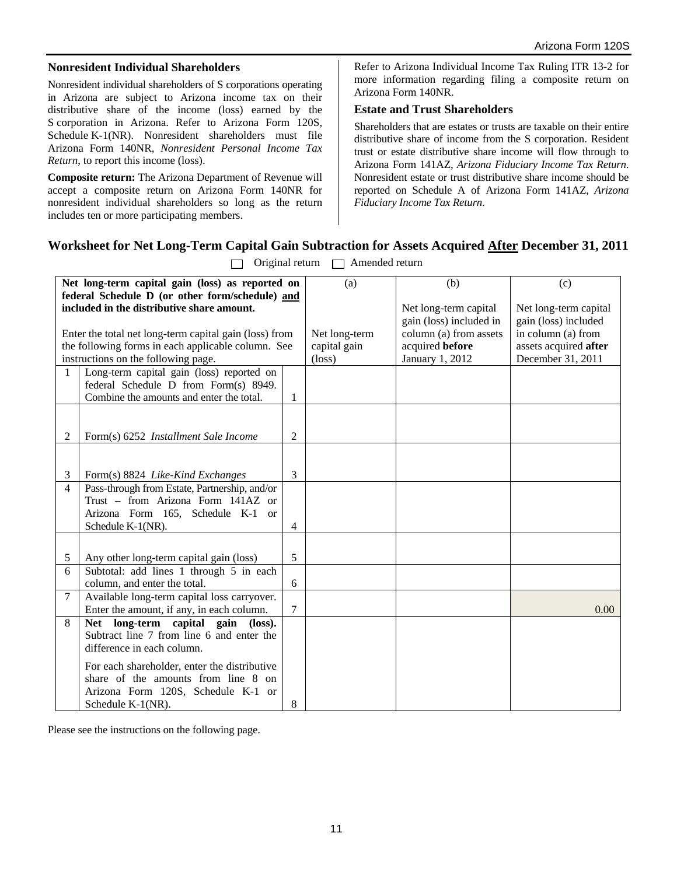#### **Nonresident Individual Shareholders**

Nonresident individual shareholders of S corporations operating in Arizona are subject to Arizona income tax on their distributive share of the income (loss) earned by the S corporation in Arizona. Refer to Arizona Form 120S, Schedule K-1(NR). Nonresident shareholders must file Arizona Form 140NR, *Nonresident Personal Income Tax Return*, to report this income (loss).

**Composite return:** The Arizona Department of Revenue will accept a composite return on Arizona Form 140NR for nonresident individual shareholders so long as the return includes ten or more participating members.

Refer to Arizona Individual Income Tax Ruling ITR 13-2 for more information regarding filing a composite return on Arizona Form 140NR.

## **Estate and Trust Shareholders**

Shareholders that are estates or trusts are taxable on their entire distributive share of income from the S corporation. Resident trust or estate distributive share income will flow through to Arizona Form 141AZ, *Arizona Fiduciary Income Tax Return*. Nonresident estate or trust distributive share income should be reported on Schedule A of Arizona Form 141AZ, *Arizona Fiduciary Income Tax Return*.

## **Worksheet for Net Long-Term Capital Gain Subtraction for Assets Acquired After December 31, 2011**

|                                                    | Net long-term capital gain (loss) as reported on       |                 | (a)                   | (b)                     | (c)                  |
|----------------------------------------------------|--------------------------------------------------------|-----------------|-----------------------|-------------------------|----------------------|
| federal Schedule D (or other form/schedule) and    |                                                        |                 |                       |                         |                      |
| included in the distributive share amount.         |                                                        |                 | Net long-term capital | Net long-term capital   |                      |
|                                                    |                                                        |                 |                       | gain (loss) included in | gain (loss) included |
|                                                    | Enter the total net long-term capital gain (loss) from |                 | Net long-term         | column (a) from assets  | in column (a) from   |
| the following forms in each applicable column. See |                                                        | capital gain    | acquired before       | assets acquired after   |                      |
| instructions on the following page.                |                                                        | $(\text{loss})$ | January 1, 2012       | December 31, 2011       |                      |
| $\mathbf{1}$                                       | Long-term capital gain (loss) reported on              |                 |                       |                         |                      |
|                                                    | federal Schedule D from Form(s) 8949.                  |                 |                       |                         |                      |
|                                                    | Combine the amounts and enter the total.               | 1               |                       |                         |                      |
|                                                    |                                                        |                 |                       |                         |                      |
|                                                    |                                                        |                 |                       |                         |                      |
| $\overline{2}$                                     | Form(s) 6252 Installment Sale Income                   | 2               |                       |                         |                      |
|                                                    |                                                        |                 |                       |                         |                      |
|                                                    |                                                        |                 |                       |                         |                      |
| 3                                                  | Form(s) 8824 Like-Kind Exchanges                       | 3               |                       |                         |                      |
| $\overline{4}$                                     | Pass-through from Estate, Partnership, and/or          |                 |                       |                         |                      |
|                                                    | Trust - from Arizona Form 141AZ or                     |                 |                       |                         |                      |
|                                                    | Arizona Form 165, Schedule K-1 or                      |                 |                       |                         |                      |
|                                                    | Schedule K-1(NR).                                      | 4               |                       |                         |                      |
|                                                    |                                                        |                 |                       |                         |                      |
| 5                                                  | Any other long-term capital gain (loss)                | 5               |                       |                         |                      |
| 6                                                  | Subtotal: add lines 1 through 5 in each                |                 |                       |                         |                      |
|                                                    | column, and enter the total.                           | 6               |                       |                         |                      |
| $\tau$                                             | Available long-term capital loss carryover.            |                 |                       |                         |                      |
|                                                    | Enter the amount, if any, in each column.              | 7               |                       |                         | 0.00                 |
| 8                                                  | Net long-term capital gain (loss).                     |                 |                       |                         |                      |
|                                                    | Subtract line 7 from line 6 and enter the              |                 |                       |                         |                      |
|                                                    | difference in each column.                             |                 |                       |                         |                      |
|                                                    | For each shareholder, enter the distributive           |                 |                       |                         |                      |
|                                                    | share of the amounts from line 8 on                    |                 |                       |                         |                      |
|                                                    | Arizona Form 120S, Schedule K-1 or                     |                 |                       |                         |                      |
|                                                    | Schedule K-1(NR).                                      | 8               |                       |                         |                      |

 $\Box$  Original return  $\Box$  Amended return

Please see the instructions on the following page.